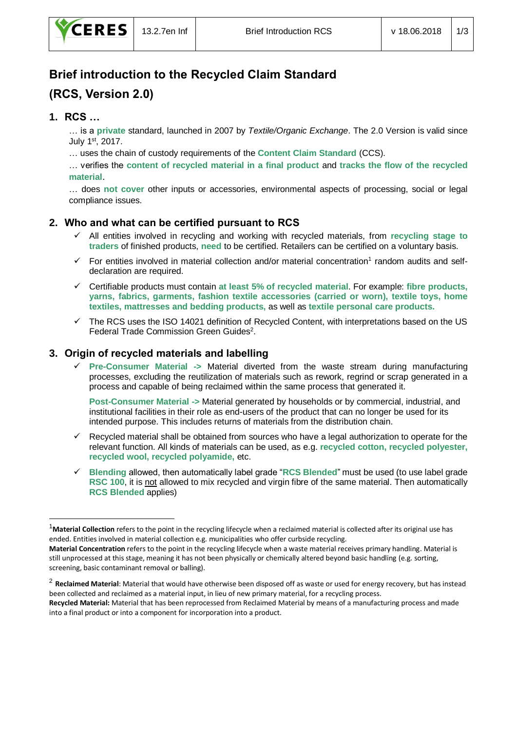# **Brief introduction to the Recycled Claim Standard (RCS, Version 2.0)**

# **1. RCS …**

-

… is a **private** standard, launched in 2007 by *Textile/Organic Exchange*. The 2.0 Version is valid since July 1st, 2017.

… uses the chain of custody requirements of the **Content Claim Standard** (CCS).

… verifies the **content of recycled material in a final product** and **tracks the flow of the recycled material**.

… does **not cover** other inputs or accessories, environmental aspects of processing, social or legal compliance issues.

# **2. Who and what can be certified pursuant to RCS**

- ✓ All entities involved in recycling and working with recycled materials, from **recycling stage to traders** of finished products, **need** to be certified. Retailers can be certified on a voluntary basis.
- $\checkmark$  For entities involved in material collection and/or material concentration<sup>1</sup> random audits and selfdeclaration are required.
- ✓ Certifiable products must contain **at least 5% of recycled material**. For example: **fibre products, yarns, fabrics, garments, fashion textile accessories (carried or worn), textile toys, home textiles, mattresses and bedding products,** as well as **textile personal care products.**
- The RCS uses the ISO 14021 definition of Recycled Content, with interpretations based on the US Federal Trade Commission Green Guides<sup>2</sup>.

# **3. Origin of recycled materials and labelling**

✓ **Pre-Consumer Material ->** Material diverted from the waste stream during manufacturing processes, excluding the reutilization of materials such as rework, regrind or scrap generated in a process and capable of being reclaimed within the same process that generated it.

**Post-Consumer Material ->** Material generated by households or by commercial, industrial, and institutional facilities in their role as end-users of the product that can no longer be used for its intended purpose. This includes returns of materials from the distribution chain.

- Recycled material shall be obtained from sources who have a legal authorization to operate for the relevant function. All kinds of materials can be used, as e.g. **recycled cotton, recycled polyester, recycled wool, recycled polyamide,** etc.
- ✓ **Blending** allowed, then automatically label grade "**RCS Blended**" must be used (to use label grade **RSC 100**, it is not allowed to mix recycled and virgin fibre of the same material. Then automatically **RCS Blended** applies)

<sup>&</sup>lt;sup>1</sup>Material Collection refers to the point in the recycling lifecycle when a reclaimed material is collected after its original use has ended. Entities involved in material collection e.g. municipalities who offer curbside recycling.

**Material Concentration** refers to the point in the recycling lifecycle when a waste material receives primary handling. Material is still unprocessed at this stage, meaning it has not been physically or chemically altered beyond basic handling (e.g. sorting, screening, basic contaminant removal or balling).

<sup>2</sup> **Reclaimed Material**: Material that would have otherwise been disposed off as waste or used for energy recovery, but has instead been collected and reclaimed as a material input, in lieu of new primary material, for a recycling process.

**Recycled Material:** Material that has been reprocessed from Reclaimed Material by means of a manufacturing process and made into a final product or into a component for incorporation into a product.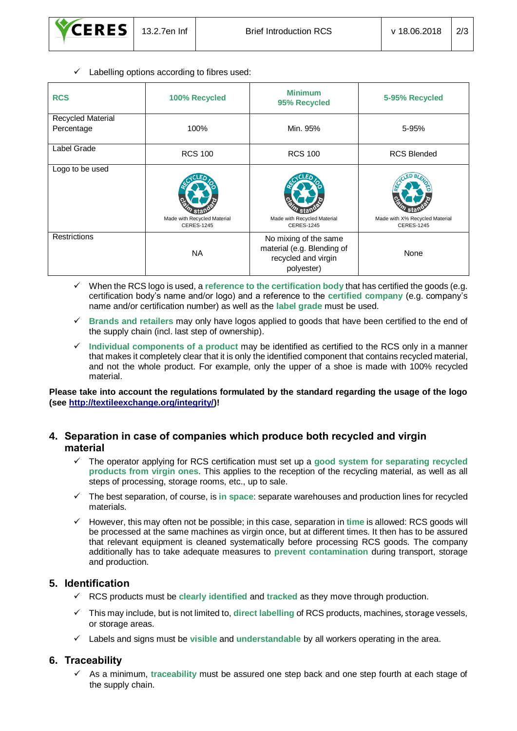$\checkmark$  Labelling options according to fibres used:

| <b>RCS</b>                             | 100% Recycled                                    | <b>Minimum</b><br>95% Recycled                                                           | 5-95% Recycled                                      |
|----------------------------------------|--------------------------------------------------|------------------------------------------------------------------------------------------|-----------------------------------------------------|
| <b>Recycled Material</b><br>Percentage | 100%                                             | Min. 95%                                                                                 | 5-95%                                               |
| Label Grade                            | <b>RCS 100</b>                                   | <b>RCS 100</b>                                                                           | <b>RCS Blended</b>                                  |
| Logo to be used                        | Made with Recycled Material<br><b>CERES-1245</b> | Made with Recycled Material<br><b>CERES-1245</b>                                         | Made with X% Recycled Material<br><b>CERES-1245</b> |
| Restrictions                           | <b>NA</b>                                        | No mixing of the same<br>material (e.g. Blending of<br>recycled and virgin<br>polyester) | None                                                |

- ✓ When the RCS logo is used, a **reference to the certification body** that has certified the goods (e.g. certification body's name and/or logo) and a reference to the **certified company** (e.g. company's name and/or certification number) as well as the **label grade** must be used.
- ✓ **Brands and retailers** may only have logos applied to goods that have been certified to the end of the supply chain (incl. last step of ownership).
- ✓ **Individual components of a product** may be identified as certified to the RCS only in a manner that makes it completely clear that it is only the identified component that contains recycled material, and not the whole product. For example, only the upper of a shoe is made with 100% recycled material.

**Please take into account the regulations formulated by the standard regarding the usage of the logo (see [http://textileexchange.org/integrity/\)](http://textileexchange.org/integrity/)!**

## **4. Separation in case of companies which produce both recycled and virgin material**

- ✓ The operator applying for RCS certification must set up a **good system for separating recycled products from virgin ones**. This applies to the reception of the recycling material, as well as all steps of processing, storage rooms, etc., up to sale.
- ✓ The best separation, of course, is **in space**: separate warehouses and production lines for recycled materials.
- ✓ However, this may often not be possible; in this case, separation in **time** is allowed: RCS goods will be processed at the same machines as virgin once, but at different times. It then has to be assured that relevant equipment is cleaned systematically before processing RCS goods. The company additionally has to take adequate measures to **prevent contamination** during transport, storage and production.

## **5. Identification**

- ✓ RCS products must be **clearly identified** and **tracked** as they move through production.
- ✓ This may include, but is not limited to, **direct labelling** of RCS products, machines, storage vessels, or storage areas.
- ✓ Labels and signs must be **visible** and **understandable** by all workers operating in the area.

## **6. Traceability**

✓ As a minimum, **traceability** must be assured one step back and one step fourth at each stage of the supply chain.